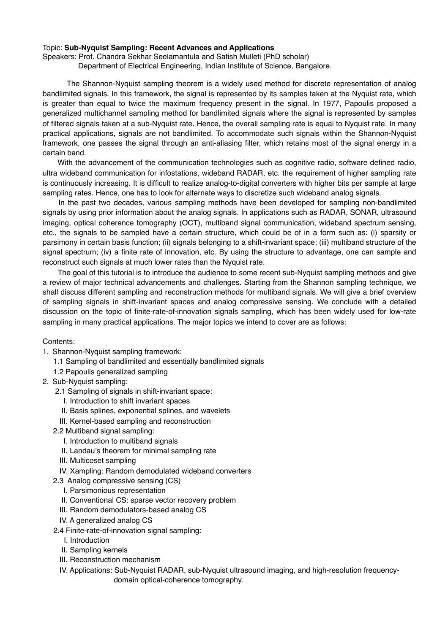## Topic: **Sub-Nyquist Sampling: Recent Advances and Applications**

Speakers: Prof. Chandra Sekhar Seelamantula and Satish Mulleti (PhD scholar)

Department of Electrical Engineering, Indian Institute of Science, Bangalore.

 The Shannon-Nyquist sampling theorem is a widely used method for discrete representation of analog bandlimited signals. In this framework, the signal is represented by its samples taken at the Nyquist rate, which is greater than equal to twice the maximum frequency present in the signal. In 1977, Papoulis proposed a generalized multichannel sampling method for bandlimited signals where the signal is represented by samples of filtered signals taken at a sub-Nyquist rate. Hence, the overall sampling rate is equal to Nyquist rate. In many practical applications, signals are not bandlimited. To accommodate such signals within the Shannon-Nyquist framework, one passes the signal through an anti-aliasing filter, which retains most of the signal energy in a certain band.

With the advancement of the communication technologies such as cognitive radio, software defined radio, ultra wideband communication for infostations, wideband RADAR, etc. the requirement of higher sampling rate is continuously increasing. It is difficult to realize analog-to-digital converters with higher bits per sample at large sampling rates. Hence, one has to look for alternate ways to discretize such wideband analog signals.

 In the past two decades, various sampling methods have been developed for sampling non-bandlimited signals by using prior information about the analog signals. In applications such as RADAR, SONAR, ultrasound imaging, optical coherence tomography (OCT), multiband signal communication, wideband spectrum sensing, etc., the signals to be sampled have a certain structure, which could be of in a form such as: (i) sparsity or parsimony in certain basis function; (ii) signals belonging to a shift-invariant space; (iii) multiband structure of the signal spectrum; (iv) a finite rate of innovation, etc. By using the structure to advantage, one can sample and reconstruct such signals at much lower rates than the Nyquist rate.

 The goal of this tutorial is to introduce the audience to some recent sub-Nyquist sampling methods and give a review of major technical advancements and challenges. Starting from the Shannon sampling technique, we shall discuss different sampling and reconstruction methods for multiband signals. We will give a brief overview of sampling signals in shift-invariant spaces and analog compressive sensing. We conclude with a detailed discussion on the topic of finite-rate-of-innovation signals sampling, which has been widely used for low-rate sampling in many practical applications. The major topics we intend to cover are as follows:

## Contents:

- 1. Shannon-Nyquist sampling framework:
	- 1.1 Sampling of bandlimited and essentially bandlimited signals
	- 1.2 Papoulis generalized sampling
- 2. Sub-Nyquist sampling:
	- 2.1 Sampling of signals in shift-invariant space:
		- I. Introduction to shift invariant spaces
		- II. Basis splines, exponential splines, and wavelets
		- III. Kernel-based sampling and reconstruction
	- 2.2 Multiband signal sampling:
		- I. Introduction to multiband signals
		- II. Landau's theorem for minimal sampling rate
		- III. Multicoset sampling
		- IV. Xampling: Random demodulated wideband converters
	- 2.3 Analog compressive sensing (CS)
		- I. Parsimonious representation
		- II. Conventional CS: sparse vector recovery problem
		- III. Random demodulators-based analog CS
		- IV. A generalized analog CS
	- 2.4 Finite-rate-of-innovation signal sampling:
		- I. Introduction
		- II. Sampling kernels
		- III. Reconstruction mechanism
		- IV. Applications: Sub-Nyquist RADAR, sub-Nyquist ultrasound imaging, and high-resolution frequency domain optical-coherence tomography.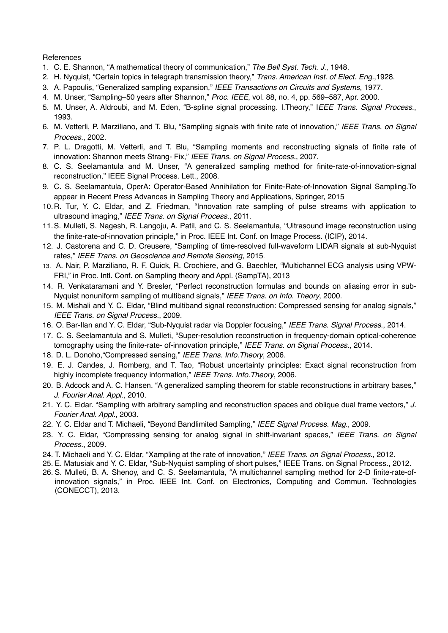## **References**

- 1. C. E. Shannon, "A mathematical theory of communication," *The Bell Syst. Tech. J.*, 1948.
- 2. H. Nyquist, "Certain topics in telegraph transmission theory," *Trans. American Inst. of Elect. Eng.*,1928.
- 3. A. Papoulis, "Generalized sampling expansion," *IEEE Transactions on Circuits and Systems*, 1977.
- 4. M. Unser, "Sampling–50 years after Shannon," *Proc. IEEE*, vol. 88, no. 4, pp. 569–587, Apr. 2000.
- 5. M. Unser, A. Aldroubi, and M. Eden, "B-spline signal processing. I.Theory," I*EEE Trans. Signal Process.*, 1993.
- 6. M. Vetterli, P. Marziliano, and T. Blu, "Sampling signals with finite rate of innovation," *IEEE Trans. on Signal Process.*, 2002.
- 7. P. L. Dragotti, M. Vetterli, and T. Blu, "Sampling moments and reconstructing signals of finite rate of innovation: Shannon meets Strang- Fix," *IEEE Trans. on Signal Process.*, 2007.
- 8. C. S. Seelamantula and M. Unser, "A generalized sampling method for finite-rate-of-innovation-signal reconstruction," IEEE Signal Process. Lett., 2008.
- 9. C. S. Seelamantula, OperA: Operator-Based Annihilation for Finite-Rate-of-Innovation Signal Sampling.To appear in Recent Press Advances in Sampling Theory and Applications, Springer, 2015
- 10.R. Tur, Y. C. Eldar, and Z. Friedman, "Innovation rate sampling of pulse streams with application to ultrasound imaging," *IEEE Trans. on Signal Process.*, 2011.
- 11.S. Mulleti, S. Nagesh, R. Langoju, A. Patil, and C. S. Seelamantula, "Ultrasound image reconstruction using the finite-rate-of-innovation principle," in Proc. IEEE Int. Conf. on Image Process. (ICIP), 2014.
- 12. J. Castorena and C. D. Creusere, "Sampling of time-resolved full-waveform LIDAR signals at sub-Nyquist rates," *IEEE Trans. on Geoscience and Remote Sensing*, 2015.
- 13. A. Nair, P. Marziliano, R. F. Quick, R. Crochiere, and G. Baechler, "Multichannel ECG analysis using VPW-FRI," in Proc. Intl. Conf. on Sampling theory and Appl. (SampTA), 2013
- 14. R. Venkataramani and Y. Bresler, "Perfect reconstruction formulas and bounds on aliasing error in sub-Nyquist nonuniform sampling of multiband signals," *IEEE Trans. on Info. Theory*, 2000.
- 15. M. Mishali and Y. C. Eldar, "Blind multiband signal reconstruction: Compressed sensing for analog signals," *IEEE Trans. on Signal Process.*, 2009.
- 16. O. Bar-Ilan and Y. C. Eldar, "Sub-Nyquist radar via Doppler focusing," *IEEE Trans. Signal Process*., 2014.
- 17. C. S. Seelamantula and S. Mulleti, "Super-resolution reconstruction in frequency-domain optical-coherence tomography using the finite-rate- of-innovation principle," *IEEE Trans. on Signal Process.*, 2014.
- 18. D. L. Donoho,"Compressed sensing," *IEEE Trans. Info.Theory*, 2006.
- 19. E. J. Candes, J. Romberg, and T. Tao, "Robust uncertainty principles: Exact signal reconstruction from highly incomplete frequency information," *IEEE Trans. Info.Theory*, 2006.
- 20. B. Adcock and A. C. Hansen. "A generalized sampling theorem for stable reconstructions in arbitrary bases," *J. Fourier Anal. Appl.*, 2010.
- 21. Y. C. Eldar. "Sampling with arbitrary sampling and reconstruction spaces and oblique dual frame vectors," *J. Fourier Anal. Appl.*, 2003.
- 22. Y. C. Eldar and T. Michaeli, "Beyond Bandlimited Sampling," *IEEE Signal Process. Mag.*, 2009.
- 23. Y. C. Eldar, "Compressing sensing for analog signal in shift-invariant spaces," *IEEE Trans. on Signal Process.*, 2009.
- 24. T. Michaeli and Y. C. Eldar, "Xampling at the rate of innovation," *IEEE Trans. on Signal Process.*, 2012.
- 25. E. Matusiak and Y. C. Eldar, "Sub-Nyquist sampling of short pulses," IEEE Trans. on Signal Process., 2012.
- 26. S. Mulleti, B. A. Shenoy, and C. S. Seelamantula, "A multichannel sampling method for 2-D finite-rate-ofinnovation signals," in Proc. IEEE Int. Conf. on Electronics, Computing and Commun. Technologies (CONECCT), 2013.